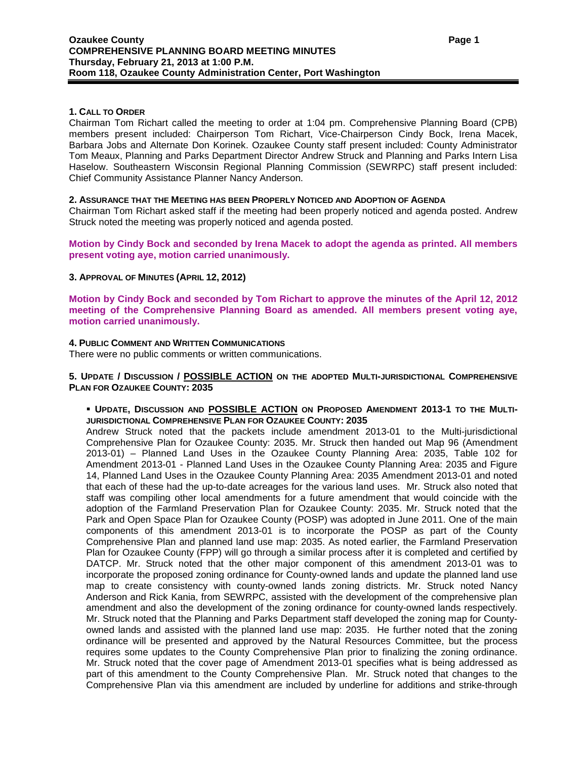# **1. CALL TO ORDER**

Chairman Tom Richart called the meeting to order at 1:04 pm. Comprehensive Planning Board (CPB) members present included: Chairperson Tom Richart, Vice-Chairperson Cindy Bock, Irena Macek, Barbara Jobs and Alternate Don Korinek. Ozaukee County staff present included: County Administrator Tom Meaux, Planning and Parks Department Director Andrew Struck and Planning and Parks Intern Lisa Haselow. Southeastern Wisconsin Regional Planning Commission (SEWRPC) staff present included: Chief Community Assistance Planner Nancy Anderson.

### **2. ASSURANCE THAT THE MEETING HAS BEEN PROPERLY NOTICED AND ADOPTION OF AGENDA**

Chairman Tom Richart asked staff if the meeting had been properly noticed and agenda posted. Andrew Struck noted the meeting was properly noticed and agenda posted.

**Motion by Cindy Bock and seconded by Irena Macek to adopt the agenda as printed. All members present voting aye, motion carried unanimously.**

### **3. APPROVAL OF MINUTES (APRIL 12, 2012)**

**Motion by Cindy Bock and seconded by Tom Richart to approve the minutes of the April 12, 2012 meeting of the Comprehensive Planning Board as amended. All members present voting aye, motion carried unanimously.**

## **4. PUBLIC COMMENT AND WRITTEN COMMUNICATIONS**

There were no public comments or written communications.

## **5. UPDATE / DISCUSSION / POSSIBLE ACTION ON THE ADOPTED MULTI-JURISDICTIONAL COMPREHENSIVE PLAN FOR OZAUKEE COUNTY: 2035**

### **UPDATE, DISCUSSION AND POSSIBLE ACTION ON PROPOSED AMENDMENT 2013-1 TO THE MULTI-JURISDICTIONAL COMPREHENSIVE PLAN FOR OZAUKEE COUNTY: 2035**

Andrew Struck noted that the packets include amendment 2013-01 to the Multi-jurisdictional Comprehensive Plan for Ozaukee County: 2035. Mr. Struck then handed out Map 96 (Amendment 2013-01) – Planned Land Uses in the Ozaukee County Planning Area: 2035, Table 102 for Amendment 2013-01 - Planned Land Uses in the Ozaukee County Planning Area: 2035 and Figure 14, Planned Land Uses in the Ozaukee County Planning Area: 2035 Amendment 2013-01 and noted that each of these had the up-to-date acreages for the various land uses. Mr. Struck also noted that staff was compiling other local amendments for a future amendment that would coincide with the adoption of the Farmland Preservation Plan for Ozaukee County: 2035. Mr. Struck noted that the Park and Open Space Plan for Ozaukee County (POSP) was adopted in June 2011. One of the main components of this amendment 2013-01 is to incorporate the POSP as part of the County Comprehensive Plan and planned land use map: 2035. As noted earlier, the Farmland Preservation Plan for Ozaukee County (FPP) will go through a similar process after it is completed and certified by DATCP. Mr. Struck noted that the other major component of this amendment 2013-01 was to incorporate the proposed zoning ordinance for County-owned lands and update the planned land use map to create consistency with county-owned lands zoning districts. Mr. Struck noted Nancy Anderson and Rick Kania, from SEWRPC, assisted with the development of the comprehensive plan amendment and also the development of the zoning ordinance for county-owned lands respectively. Mr. Struck noted that the Planning and Parks Department staff developed the zoning map for Countyowned lands and assisted with the planned land use map: 2035. He further noted that the zoning ordinance will be presented and approved by the Natural Resources Committee, but the process requires some updates to the County Comprehensive Plan prior to finalizing the zoning ordinance. Mr. Struck noted that the cover page of Amendment 2013-01 specifies what is being addressed as part of this amendment to the County Comprehensive Plan. Mr. Struck noted that changes to the Comprehensive Plan via this amendment are included by underline for additions and strike-through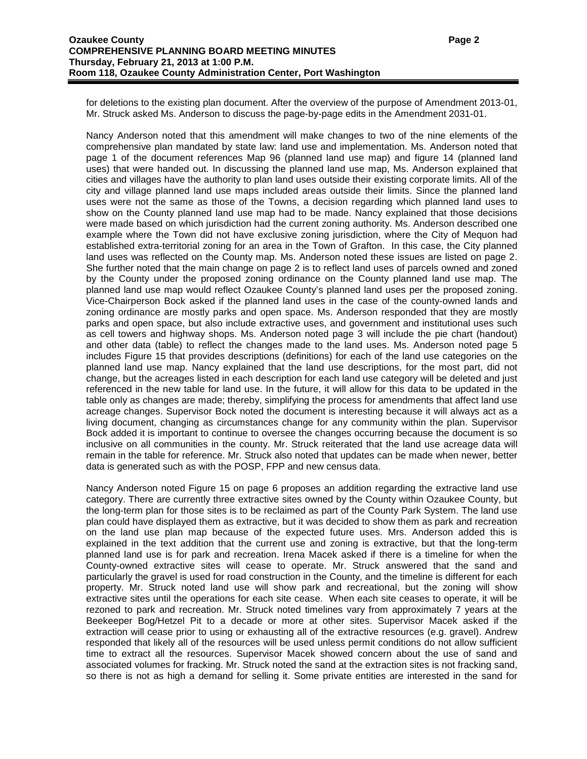for deletions to the existing plan document. After the overview of the purpose of Amendment 2013-01, Mr. Struck asked Ms. Anderson to discuss the page-by-page edits in the Amendment 2031-01.

Nancy Anderson noted that this amendment will make changes to two of the nine elements of the comprehensive plan mandated by state law: land use and implementation. Ms. Anderson noted that page 1 of the document references Map 96 (planned land use map) and figure 14 (planned land uses) that were handed out. In discussing the planned land use map, Ms. Anderson explained that cities and villages have the authority to plan land uses outside their existing corporate limits. All of the city and village planned land use maps included areas outside their limits. Since the planned land uses were not the same as those of the Towns, a decision regarding which planned land uses to show on the County planned land use map had to be made. Nancy explained that those decisions were made based on which jurisdiction had the current zoning authority. Ms. Anderson described one example where the Town did not have exclusive zoning jurisdiction, where the City of Mequon had established extra-territorial zoning for an area in the Town of Grafton. In this case, the City planned land uses was reflected on the County map. Ms. Anderson noted these issues are listed on page 2. She further noted that the main change on page 2 is to reflect land uses of parcels owned and zoned by the County under the proposed zoning ordinance on the County planned land use map. The planned land use map would reflect Ozaukee County's planned land uses per the proposed zoning. Vice-Chairperson Bock asked if the planned land uses in the case of the county-owned lands and zoning ordinance are mostly parks and open space. Ms. Anderson responded that they are mostly parks and open space, but also include extractive uses, and government and institutional uses such as cell towers and highway shops. Ms. Anderson noted page 3 will include the pie chart (handout) and other data (table) to reflect the changes made to the land uses. Ms. Anderson noted page 5 includes Figure 15 that provides descriptions (definitions) for each of the land use categories on the planned land use map. Nancy explained that the land use descriptions, for the most part, did not change, but the acreages listed in each description for each land use category will be deleted and just referenced in the new table for land use. In the future, it will allow for this data to be updated in the table only as changes are made; thereby, simplifying the process for amendments that affect land use acreage changes. Supervisor Bock noted the document is interesting because it will always act as a living document, changing as circumstances change for any community within the plan. Supervisor Bock added it is important to continue to oversee the changes occurring because the document is so inclusive on all communities in the county. Mr. Struck reiterated that the land use acreage data will remain in the table for reference. Mr. Struck also noted that updates can be made when newer, better data is generated such as with the POSP, FPP and new census data.

Nancy Anderson noted Figure 15 on page 6 proposes an addition regarding the extractive land use category. There are currently three extractive sites owned by the County within Ozaukee County, but the long-term plan for those sites is to be reclaimed as part of the County Park System. The land use plan could have displayed them as extractive, but it was decided to show them as park and recreation on the land use plan map because of the expected future uses. Mrs. Anderson added this is explained in the text addition that the current use and zoning is extractive, but that the long-term planned land use is for park and recreation. Irena Macek asked if there is a timeline for when the County-owned extractive sites will cease to operate. Mr. Struck answered that the sand and particularly the gravel is used for road construction in the County, and the timeline is different for each property. Mr. Struck noted land use will show park and recreational, but the zoning will show extractive sites until the operations for each site cease. When each site ceases to operate, it will be rezoned to park and recreation. Mr. Struck noted timelines vary from approximately 7 years at the Beekeeper Bog/Hetzel Pit to a decade or more at other sites. Supervisor Macek asked if the extraction will cease prior to using or exhausting all of the extractive resources (e.g. gravel). Andrew responded that likely all of the resources will be used unless permit conditions do not allow sufficient time to extract all the resources. Supervisor Macek showed concern about the use of sand and associated volumes for fracking. Mr. Struck noted the sand at the extraction sites is not fracking sand, so there is not as high a demand for selling it. Some private entities are interested in the sand for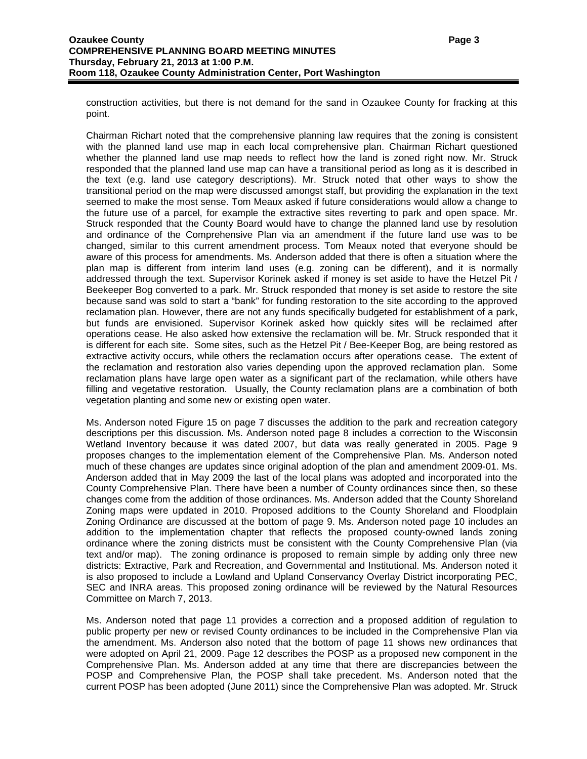construction activities, but there is not demand for the sand in Ozaukee County for fracking at this point.

Chairman Richart noted that the comprehensive planning law requires that the zoning is consistent with the planned land use map in each local comprehensive plan. Chairman Richart questioned whether the planned land use map needs to reflect how the land is zoned right now. Mr. Struck responded that the planned land use map can have a transitional period as long as it is described in the text (e.g. land use category descriptions). Mr. Struck noted that other ways to show the transitional period on the map were discussed amongst staff, but providing the explanation in the text seemed to make the most sense. Tom Meaux asked if future considerations would allow a change to the future use of a parcel, for example the extractive sites reverting to park and open space. Mr. Struck responded that the County Board would have to change the planned land use by resolution and ordinance of the Comprehensive Plan via an amendment if the future land use was to be changed, similar to this current amendment process. Tom Meaux noted that everyone should be aware of this process for amendments. Ms. Anderson added that there is often a situation where the plan map is different from interim land uses (e.g. zoning can be different), and it is normally addressed through the text. Supervisor Korinek asked if money is set aside to have the Hetzel Pit / Beekeeper Bog converted to a park. Mr. Struck responded that money is set aside to restore the site because sand was sold to start a "bank" for funding restoration to the site according to the approved reclamation plan. However, there are not any funds specifically budgeted for establishment of a park, but funds are envisioned. Supervisor Korinek asked how quickly sites will be reclaimed after operations cease. He also asked how extensive the reclamation will be. Mr. Struck responded that it is different for each site. Some sites, such as the Hetzel Pit / Bee-Keeper Bog, are being restored as extractive activity occurs, while others the reclamation occurs after operations cease. The extent of the reclamation and restoration also varies depending upon the approved reclamation plan. Some reclamation plans have large open water as a significant part of the reclamation, while others have filling and vegetative restoration. Usually, the County reclamation plans are a combination of both vegetation planting and some new or existing open water.

Ms. Anderson noted Figure 15 on page 7 discusses the addition to the park and recreation category descriptions per this discussion. Ms. Anderson noted page 8 includes a correction to the Wisconsin Wetland Inventory because it was dated 2007, but data was really generated in 2005. Page 9 proposes changes to the implementation element of the Comprehensive Plan. Ms. Anderson noted much of these changes are updates since original adoption of the plan and amendment 2009-01. Ms. Anderson added that in May 2009 the last of the local plans was adopted and incorporated into the County Comprehensive Plan. There have been a number of County ordinances since then, so these changes come from the addition of those ordinances. Ms. Anderson added that the County Shoreland Zoning maps were updated in 2010. Proposed additions to the County Shoreland and Floodplain Zoning Ordinance are discussed at the bottom of page 9. Ms. Anderson noted page 10 includes an addition to the implementation chapter that reflects the proposed county-owned lands zoning ordinance where the zoning districts must be consistent with the County Comprehensive Plan (via text and/or map). The zoning ordinance is proposed to remain simple by adding only three new districts: Extractive, Park and Recreation, and Governmental and Institutional. Ms. Anderson noted it is also proposed to include a Lowland and Upland Conservancy Overlay District incorporating PEC, SEC and INRA areas. This proposed zoning ordinance will be reviewed by the Natural Resources Committee on March 7, 2013.

Ms. Anderson noted that page 11 provides a correction and a proposed addition of regulation to public property per new or revised County ordinances to be included in the Comprehensive Plan via the amendment. Ms. Anderson also noted that the bottom of page 11 shows new ordinances that were adopted on April 21, 2009. Page 12 describes the POSP as a proposed new component in the Comprehensive Plan. Ms. Anderson added at any time that there are discrepancies between the POSP and Comprehensive Plan, the POSP shall take precedent. Ms. Anderson noted that the current POSP has been adopted (June 2011) since the Comprehensive Plan was adopted. Mr. Struck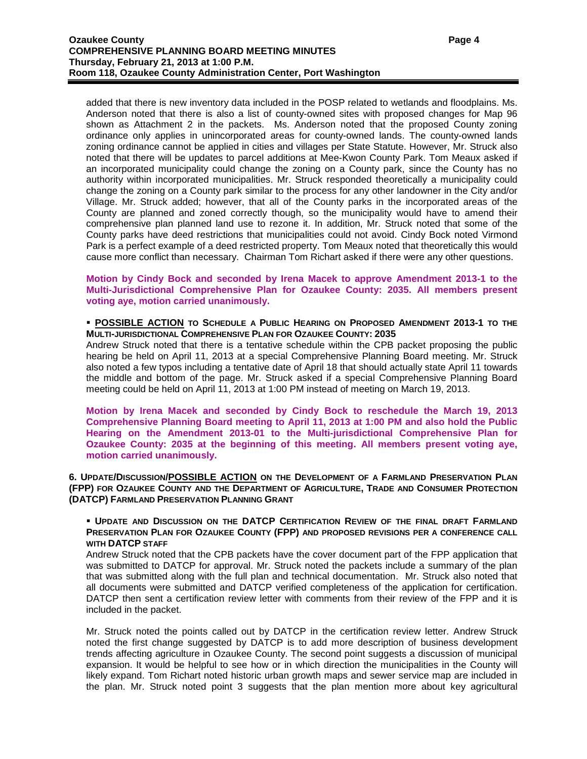added that there is new inventory data included in the POSP related to wetlands and floodplains. Ms. Anderson noted that there is also a list of county-owned sites with proposed changes for Map 96 shown as Attachment 2 in the packets. Ms. Anderson noted that the proposed County zoning ordinance only applies in unincorporated areas for county-owned lands. The county-owned lands zoning ordinance cannot be applied in cities and villages per State Statute. However, Mr. Struck also noted that there will be updates to parcel additions at Mee-Kwon County Park. Tom Meaux asked if an incorporated municipality could change the zoning on a County park, since the County has no authority within incorporated municipalities. Mr. Struck responded theoretically a municipality could change the zoning on a County park similar to the process for any other landowner in the City and/or Village. Mr. Struck added; however, that all of the County parks in the incorporated areas of the County are planned and zoned correctly though, so the municipality would have to amend their comprehensive plan planned land use to rezone it. In addition, Mr. Struck noted that some of the County parks have deed restrictions that municipalities could not avoid. Cindy Bock noted Virmond Park is a perfect example of a deed restricted property. Tom Meaux noted that theoretically this would cause more conflict than necessary. Chairman Tom Richart asked if there were any other questions.

**Motion by Cindy Bock and seconded by Irena Macek to approve Amendment 2013-1 to the Multi-Jurisdictional Comprehensive Plan for Ozaukee County: 2035. All members present voting aye, motion carried unanimously.**

## **POSSIBLE ACTION TO SCHEDULE A PUBLIC HEARING ON PROPOSED AMENDMENT 2013-1 TO THE MULTI-JURISDICTIONAL COMPREHENSIVE PLAN FOR OZAUKEE COUNTY: 2035**

Andrew Struck noted that there is a tentative schedule within the CPB packet proposing the public hearing be held on April 11, 2013 at a special Comprehensive Planning Board meeting. Mr. Struck also noted a few typos including a tentative date of April 18 that should actually state April 11 towards the middle and bottom of the page. Mr. Struck asked if a special Comprehensive Planning Board meeting could be held on April 11, 2013 at 1:00 PM instead of meeting on March 19, 2013.

**Motion by Irena Macek and seconded by Cindy Bock to reschedule the March 19, 2013 Comprehensive Planning Board meeting to April 11, 2013 at 1:00 PM and also hold the Public Hearing on the Amendment 2013-01 to the Multi-jurisdictional Comprehensive Plan for Ozaukee County: 2035 at the beginning of this meeting. All members present voting aye, motion carried unanimously.**

## **6. UPDATE/DISCUSSION/POSSIBLE ACTION ON THE DEVELOPMENT OF A FARMLAND PRESERVATION PLAN (FPP) FOR OZAUKEE COUNTY AND THE DEPARTMENT OF AGRICULTURE, TRADE AND CONSUMER PROTECTION (DATCP) FARMLAND PRESERVATION PLANNING GRANT**

## **UPDATE AND DISCUSSION ON THE DATCP CERTIFICATION REVIEW OF THE FINAL DRAFT FARMLAND PRESERVATION PLAN FOR OZAUKEE COUNTY (FPP) AND PROPOSED REVISIONS PER A CONFERENCE CALL WITH DATCP STAFF**

Andrew Struck noted that the CPB packets have the cover document part of the FPP application that was submitted to DATCP for approval. Mr. Struck noted the packets include a summary of the plan that was submitted along with the full plan and technical documentation. Mr. Struck also noted that all documents were submitted and DATCP verified completeness of the application for certification. DATCP then sent a certification review letter with comments from their review of the FPP and it is included in the packet.

Mr. Struck noted the points called out by DATCP in the certification review letter. Andrew Struck noted the first change suggested by DATCP is to add more description of business development trends affecting agriculture in Ozaukee County. The second point suggests a discussion of municipal expansion. It would be helpful to see how or in which direction the municipalities in the County will likely expand. Tom Richart noted historic urban growth maps and sewer service map are included in the plan. Mr. Struck noted point 3 suggests that the plan mention more about key agricultural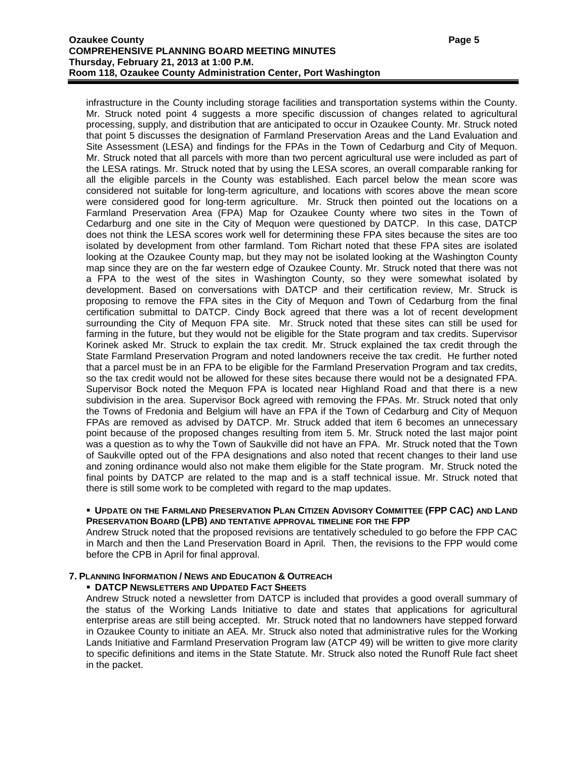infrastructure in the County including storage facilities and transportation systems within the County. Mr. Struck noted point 4 suggests a more specific discussion of changes related to agricultural processing, supply, and distribution that are anticipated to occur in Ozaukee County. Mr. Struck noted that point 5 discusses the designation of Farmland Preservation Areas and the Land Evaluation and Site Assessment (LESA) and findings for the FPAs in the Town of Cedarburg and City of Mequon. Mr. Struck noted that all parcels with more than two percent agricultural use were included as part of the LESA ratings. Mr. Struck noted that by using the LESA scores, an overall comparable ranking for all the eligible parcels in the County was established. Each parcel below the mean score was considered not suitable for long-term agriculture, and locations with scores above the mean score were considered good for long-term agriculture. Mr. Struck then pointed out the locations on a Farmland Preservation Area (FPA) Map for Ozaukee County where two sites in the Town of Cedarburg and one site in the City of Mequon were questioned by DATCP. In this case, DATCP does not think the LESA scores work well for determining these FPA sites because the sites are too isolated by development from other farmland. Tom Richart noted that these FPA sites are isolated looking at the Ozaukee County map, but they may not be isolated looking at the Washington County map since they are on the far western edge of Ozaukee County. Mr. Struck noted that there was not a FPA to the west of the sites in Washington County, so they were somewhat isolated by development. Based on conversations with DATCP and their certification review, Mr. Struck is proposing to remove the FPA sites in the City of Mequon and Town of Cedarburg from the final certification submittal to DATCP. Cindy Bock agreed that there was a lot of recent development surrounding the City of Mequon FPA site. Mr. Struck noted that these sites can still be used for farming in the future, but they would not be eligible for the State program and tax credits. Supervisor Korinek asked Mr. Struck to explain the tax credit. Mr. Struck explained the tax credit through the State Farmland Preservation Program and noted landowners receive the tax credit. He further noted that a parcel must be in an FPA to be eligible for the Farmland Preservation Program and tax credits, so the tax credit would not be allowed for these sites because there would not be a designated FPA. Supervisor Bock noted the Mequon FPA is located near Highland Road and that there is a new subdivision in the area. Supervisor Bock agreed with removing the FPAs. Mr. Struck noted that only the Towns of Fredonia and Belgium will have an FPA if the Town of Cedarburg and City of Mequon FPAs are removed as advised by DATCP. Mr. Struck added that item 6 becomes an unnecessary point because of the proposed changes resulting from item 5. Mr. Struck noted the last major point was a question as to why the Town of Saukville did not have an FPA. Mr. Struck noted that the Town of Saukville opted out of the FPA designations and also noted that recent changes to their land use and zoning ordinance would also not make them eligible for the State program. Mr. Struck noted the final points by DATCP are related to the map and is a staff technical issue. Mr. Struck noted that there is still some work to be completed with regard to the map updates.

### **UPDATE ON THE FARMLAND PRESERVATION PLAN CITIZEN ADVISORY COMMITTEE (FPP CAC) AND LAND PRESERVATION BOARD (LPB) AND TENTATIVE APPROVAL TIMELINE FOR THE FPP**

Andrew Struck noted that the proposed revisions are tentatively scheduled to go before the FPP CAC in March and then the Land Preservation Board in April. Then, the revisions to the FPP would come before the CPB in April for final approval.

# **7. PLANNING INFORMATION / NEWS AND EDUCATION & OUTREACH**

# **DATCP NEWSLETTERS AND UPDATED FACT SHEETS**

Andrew Struck noted a newsletter from DATCP is included that provides a good overall summary of the status of the Working Lands Initiative to date and states that applications for agricultural enterprise areas are still being accepted. Mr. Struck noted that no landowners have stepped forward in Ozaukee County to initiate an AEA. Mr. Struck also noted that administrative rules for the Working Lands Initiative and Farmland Preservation Program law (ATCP 49) will be written to give more clarity to specific definitions and items in the State Statute. Mr. Struck also noted the Runoff Rule fact sheet in the packet.